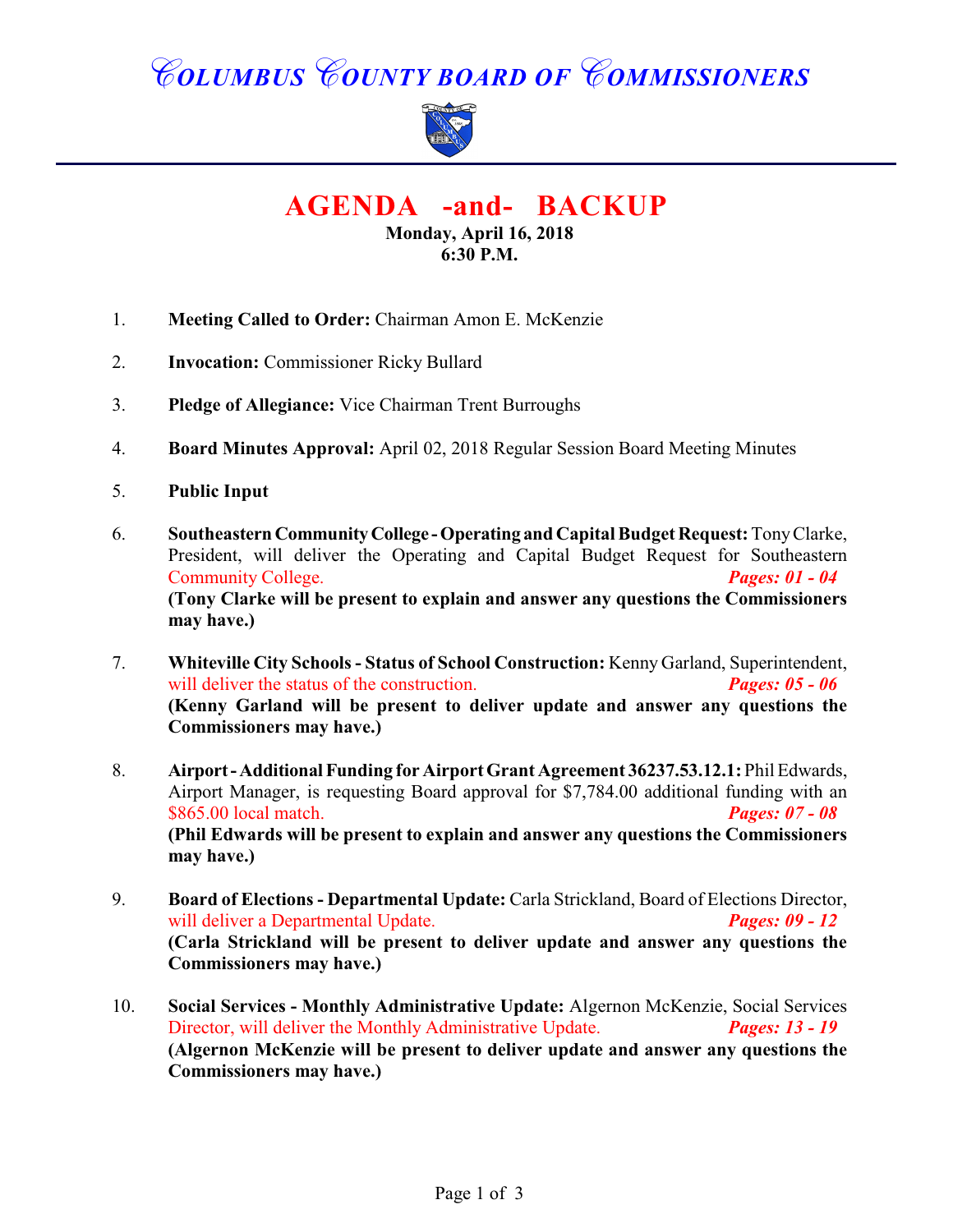# *COLUMBUS COUNTY BOARD OF COMMISSIONERS*



**AGENDA -and- BACKUP**

**Monday, April 16, 2018 6:30 P.M.**

- 1. **Meeting Called to Order:** Chairman Amon E. McKenzie
- 2. **Invocation:** Commissioner Ricky Bullard
- 3. **Pledge of Allegiance:** Vice Chairman Trent Burroughs
- 4. **Board Minutes Approval:** April 02, 2018 Regular Session Board Meeting Minutes
- 5. **Public Input**
- 6. **Southeastern Community College Operating and Capital Budget Request:** Tony Clarke, President, will deliver the Operating and Capital Budget Request for Southeastern Community College. *Pages: 01 - 04*  **(Tony Clarke will be present to explain and answer any questions the Commissioners may have.)**
- 7. **Whiteville City Schools - Status of School Construction:** Kenny Garland, Superintendent, will deliver the status of the construction. *Pages: 05 - 06* **(Kenny Garland will be present to deliver update and answer any questions the Commissioners may have.)**
- 8. **Airport Additional Funding for Airport Grant Agreement 36237.53.12.1:** Phil Edwards, Airport Manager, is requesting Board approval for \$7,784.00 additional funding with an \$865.00 local match. *Pages: 07 - 08* **(Phil Edwards will be present to explain and answer any questions the Commissioners may have.)**
- 9. **Board of Elections Departmental Update:** Carla Strickland, Board of Elections Director, will deliver a Departmental Update. *Pages: 09 12* will deliver a Departmental Update. **(Carla Strickland will be present to deliver update and answer any questions the Commissioners may have.)**
- 10. **Social Services Monthly Administrative Update:** Algernon McKenzie, Social Services Director, will deliver the Monthly Administrative Update. *Pages: 13 - 19* **(Algernon McKenzie will be present to deliver update and answer any questions the Commissioners may have.)**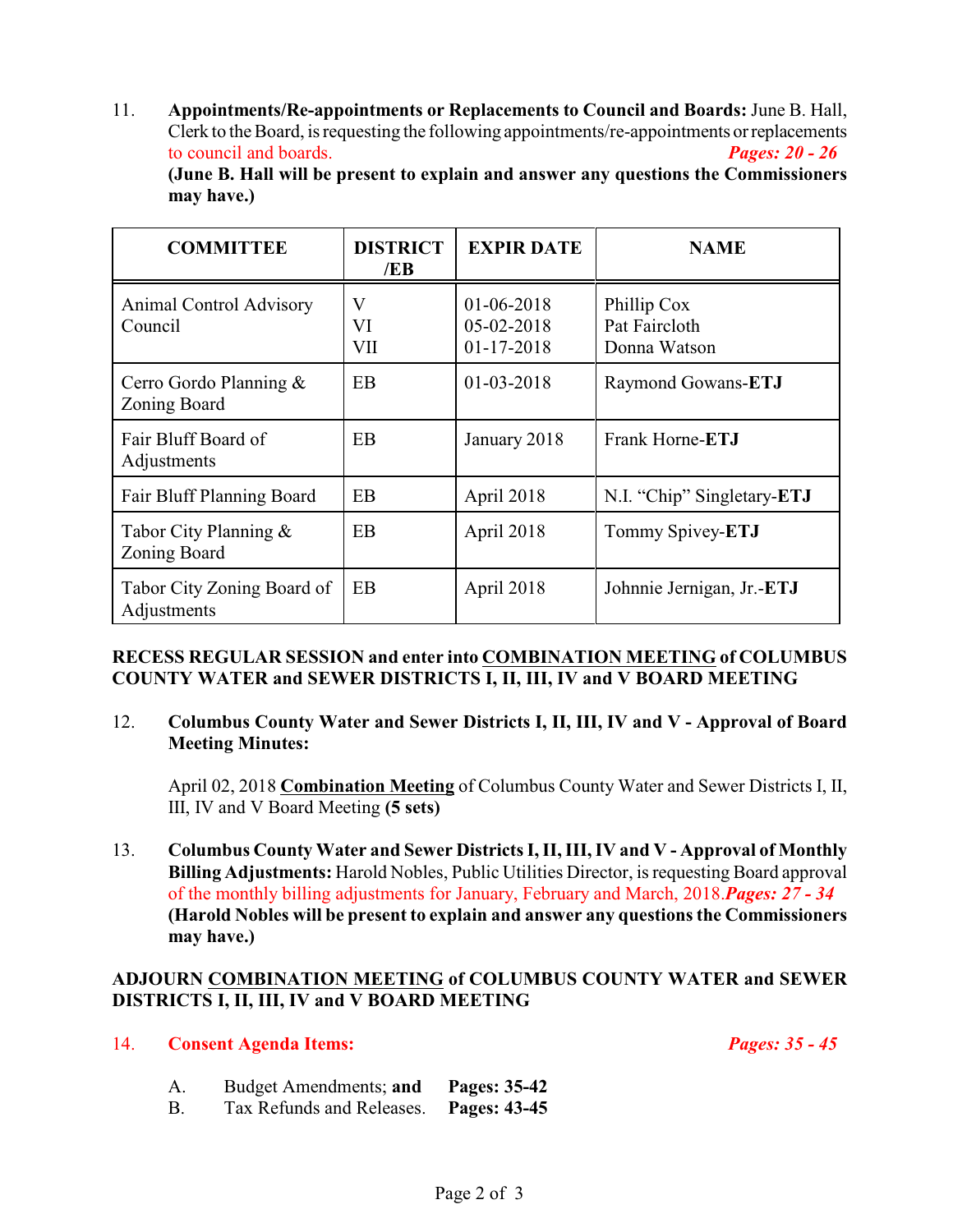11. **Appointments/Re-appointments or Replacements to Council and Boards:** June B. Hall, Clerk to the Board, is requesting the following appointments/re-appointments or replacements to council and boards. *Pages: 20 - 26*

**(June B. Hall will be present to explain and answer any questions the Commissioners may have.)**

| <b>COMMITTEE</b>                          | <b>DISTRICT</b><br>/EB | <b>EXPIR DATE</b>                            | <b>NAME</b>                                  |
|-------------------------------------------|------------------------|----------------------------------------------|----------------------------------------------|
| <b>Animal Control Advisory</b><br>Council | V<br>VI<br>VII         | 01-06-2018<br>$05 - 02 - 2018$<br>01-17-2018 | Phillip Cox<br>Pat Faircloth<br>Donna Watson |
| Cerro Gordo Planning $\&$<br>Zoning Board | EB                     | $01 - 03 - 2018$                             | Raymond Gowans-ETJ                           |
| Fair Bluff Board of<br>Adjustments        | EB                     | January 2018                                 | Frank Horne-ETJ                              |
| Fair Bluff Planning Board                 | EB                     | April 2018                                   | N.I. "Chip" Singletary-ETJ                   |
| Tabor City Planning $\&$<br>Zoning Board  | EB                     | April 2018                                   | Tommy Spivey-ETJ                             |
| Tabor City Zoning Board of<br>Adjustments | EB                     | April 2018                                   | Johnnie Jernigan, Jr.-ETJ                    |

#### **RECESS REGULAR SESSION and enter into COMBINATION MEETING of COLUMBUS COUNTY WATER and SEWER DISTRICTS I, II, III, IV and V BOARD MEETING**

12. **Columbus County Water and Sewer Districts I, II, III, IV and V - Approval of Board Meeting Minutes:**

April 02, 2018 **Combination Meeting** of Columbus County Water and Sewer Districts I, II, III, IV and V Board Meeting **(5 sets)**

13. **Columbus County Water and Sewer DistrictsI,II,III, IV and V - Approval of Monthly Billing Adjustments:** Harold Nobles, Public Utilities Director, is requesting Board approval of the monthly billing adjustments for January, February and March, 2018.*Pages: 27 - 34* **(Harold Nobles will be present to explain and answer any questions the Commissioners may have.)**

### **ADJOURN COMBINATION MEETING of COLUMBUS COUNTY WATER and SEWER DISTRICTS I, II, III, IV and V BOARD MEETING**

#### 14. **Consent Agenda Items:** *Pages: 35 - 45*

- A. Budget Amendments; **and Pages: 35-42**
- B. Tax Refunds and Releases. **Pages: 43-45**